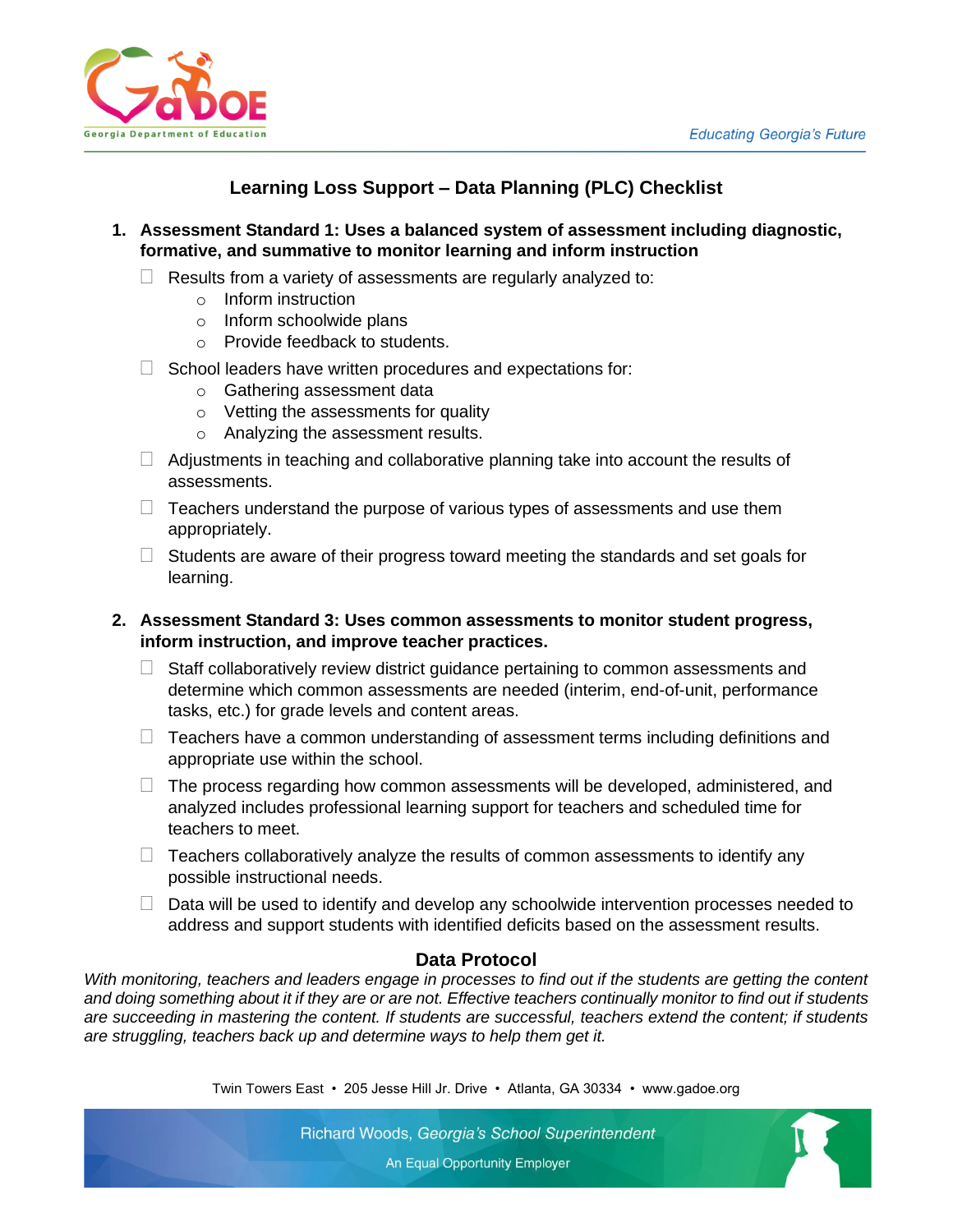

# **Learning Loss Support – Data Planning (PLC) Checklist**

- **1. Assessment Standard 1: Uses a balanced system of assessment including diagnostic, formative, and summative to monitor learning and inform instruction**
	- $\Box$  Results from a variety of assessments are regularly analyzed to:
		- o Inform instruction
		- o Inform schoolwide plans
		- o Provide feedback to students.
	- $\Box$  School leaders have written procedures and expectations for:
		- o Gathering assessment data
		- o Vetting the assessments for quality
		- o Analyzing the assessment results.
	- $\Box$  Adjustments in teaching and collaborative planning take into account the results of assessments.
	- $\Box$  Teachers understand the purpose of various types of assessments and use them appropriately.
	- $\Box$  Students are aware of their progress toward meeting the standards and set goals for learning.

## **2. Assessment Standard 3: Uses common assessments to monitor student progress, inform instruction, and improve teacher practices.**

- $\Box$  Staff collaboratively review district guidance pertaining to common assessments and determine which common assessments are needed (interim, end-of-unit, performance tasks, etc.) for grade levels and content areas.
- $\Box$  Teachers have a common understanding of assessment terms including definitions and appropriate use within the school.
- $\Box$  The process regarding how common assessments will be developed, administered, and analyzed includes professional learning support for teachers and scheduled time for teachers to meet.
- $\Box$  Teachers collaboratively analyze the results of common assessments to identify any possible instructional needs.
- $\Box$  Data will be used to identify and develop any schoolwide intervention processes needed to address and support students with identified deficits based on the assessment results.

### **Data Protocol**

*With monitoring, teachers and leaders engage in processes to find out if the students are getting the content and doing something about it if they are or are not. Effective teachers continually monitor to find out if students are succeeding in mastering the content. If students are successful, teachers extend the content; if students are struggling, teachers back up and determine ways to help them get it.*

Twin Towers East • 205 Jesse Hill Jr. Drive • Atlanta, GA 30334 • www.gadoe.org

Richard Woods, Georgia's School Superintendent An Equal Opportunity Employer